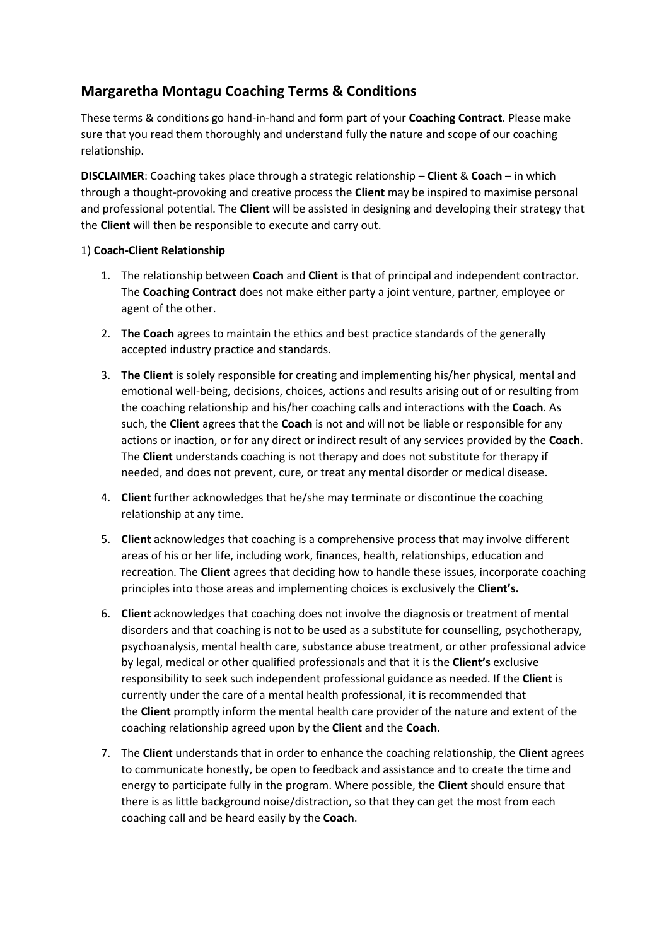# **Margaretha Montagu Coaching Terms & Conditions**

These terms & conditions go hand-in-hand and form part of your **Coaching Contract**. Please make sure that you read them thoroughly and understand fully the nature and scope of our coaching relationship.

**DISCLAIMER**: Coaching takes place through a strategic relationship – **Client** & **Coach** – in which through a thought-provoking and creative process the **Client** may be inspired to maximise personal and professional potential. The **Client** will be assisted in designing and developing their strategy that the **Client** will then be responsible to execute and carry out.

#### 1) **Coach-Client Relationship**

- 1. The relationship between **Coach** and **Client** is that of principal and independent contractor. The **Coaching Contract** does not make either party a joint venture, partner, employee or agent of the other.
- 2. **The Coach** agrees to maintain the ethics and best practice standards of the generally accepted industry practice and standards.
- 3. **The Client** is solely responsible for creating and implementing his/her physical, mental and emotional well-being, decisions, choices, actions and results arising out of or resulting from the coaching relationship and his/her coaching calls and interactions with the **Coach**. As such, the **Client** agrees that the **Coach** is not and will not be liable or responsible for any actions or inaction, or for any direct or indirect result of any services provided by the **Coach**. The **Client** understands coaching is not therapy and does not substitute for therapy if needed, and does not prevent, cure, or treat any mental disorder or medical disease.
- 4. **Client** further acknowledges that he/she may terminate or discontinue the coaching relationship at any time.
- 5. **Client** acknowledges that coaching is a comprehensive process that may involve different areas of his or her life, including work, finances, health, relationships, education and recreation. The **Client** agrees that deciding how to handle these issues, incorporate coaching principles into those areas and implementing choices is exclusively the **Client's.**
- 6. **Client** acknowledges that coaching does not involve the diagnosis or treatment of mental disorders and that coaching is not to be used as a substitute for counselling, psychotherapy, psychoanalysis, mental health care, substance abuse treatment, or other professional advice by legal, medical or other qualified professionals and that it is the **Client's** exclusive responsibility to seek such independent professional guidance as needed. If the **Client** is currently under the care of a mental health professional, it is recommended that the **Client** promptly inform the mental health care provider of the nature and extent of the coaching relationship agreed upon by the **Client** and the **Coach**.
- 7. The **Client** understands that in order to enhance the coaching relationship, the **Client** agrees to communicate honestly, be open to feedback and assistance and to create the time and energy to participate fully in the program. Where possible, the **Client** should ensure that there is as little background noise/distraction, so that they can get the most from each coaching call and be heard easily by the **Coach**.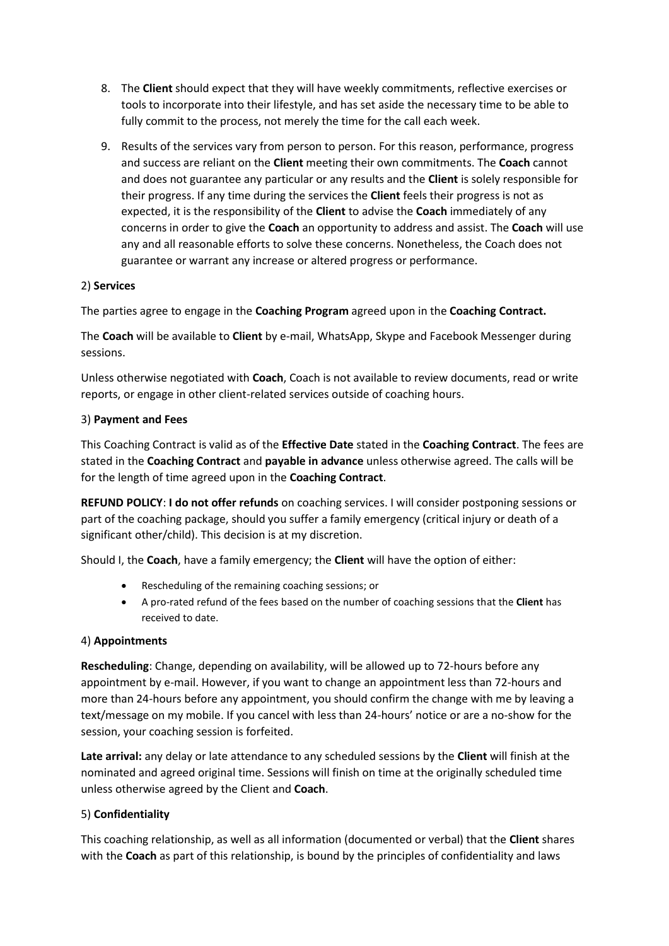- 8. The **Client** should expect that they will have weekly commitments, reflective exercises or tools to incorporate into their lifestyle, and has set aside the necessary time to be able to fully commit to the process, not merely the time for the call each week.
- 9. Results of the services vary from person to person. For this reason, performance, progress and success are reliant on the **Client** meeting their own commitments. The **Coach** cannot and does not guarantee any particular or any results and the **Client** is solely responsible for their progress. If any time during the services the **Client** feels their progress is not as expected, it is the responsibility of the **Client** to advise the **Coach** immediately of any concerns in order to give the **Coach** an opportunity to address and assist. The **Coach** will use any and all reasonable efforts to solve these concerns. Nonetheless, the Coach does not guarantee or warrant any increase or altered progress or performance.

# 2) **Services**

The parties agree to engage in the **Coaching Program** agreed upon in the **Coaching Contract.**

The **Coach** will be available to **Client** by e-mail, WhatsApp, Skype and Facebook Messenger during sessions.

Unless otherwise negotiated with **Coach**, Coach is not available to review documents, read or write reports, or engage in other client-related services outside of coaching hours.

#### 3) **Payment and Fees**

This Coaching Contract is valid as of the **Effective Date** stated in the **Coaching Contract**. The fees are stated in the **Coaching Contract** and **payable in advance** unless otherwise agreed. The calls will be for the length of time agreed upon in the **Coaching Contract**.

**REFUND POLICY**: **I do not offer refunds** on coaching services. I will consider postponing sessions or part of the coaching package, should you suffer a family emergency (critical injury or death of a significant other/child). This decision is at my discretion.

Should I, the **Coach**, have a family emergency; the **Client** will have the option of either:

- Rescheduling of the remaining coaching sessions; or
- A pro-rated refund of the fees based on the number of coaching sessions that the **Client** has received to date.

# 4) **Appointments**

**Rescheduling**: Change, depending on availability, will be allowed up to 72-hours before any appointment by e-mail. However, if you want to change an appointment less than 72-hours and more than 24-hours before any appointment, you should confirm the change with me by leaving a text/message on my mobile. If you cancel with less than 24-hours' notice or are a no-show for the session, your coaching session is forfeited.

**Late arrival:** any delay or late attendance to any scheduled sessions by the **Client** will finish at the nominated and agreed original time. Sessions will finish on time at the originally scheduled time unless otherwise agreed by the Client and **Coach**.

# 5) **Confidentiality**

This coaching relationship, as well as all information (documented or verbal) that the **Client** shares with the **Coach** as part of this relationship, is bound by the principles of confidentiality and laws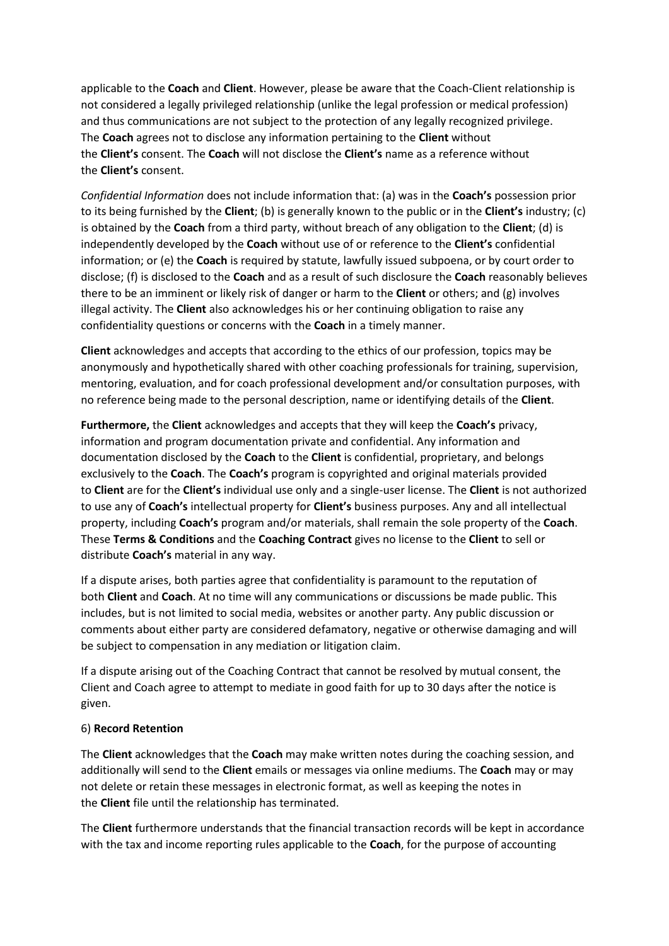applicable to the **Coach** and **Client**. However, please be aware that the Coach-Client relationship is not considered a legally privileged relationship (unlike the legal profession or medical profession) and thus communications are not subject to the protection of any legally recognized privilege. The **Coach** agrees not to disclose any information pertaining to the **Client** without the **Client's** consent. The **Coach** will not disclose the **Client's** name as a reference without the **Client's** consent.

*Confidential Information* does not include information that: (a) was in the **Coach's** possession prior to its being furnished by the **Client**; (b) is generally known to the public or in the **Client's** industry; (c) is obtained by the **Coach** from a third party, without breach of any obligation to the **Client**; (d) is independently developed by the **Coach** without use of or reference to the **Client's** confidential information; or (e) the **Coach** is required by statute, lawfully issued subpoena, or by court order to disclose; (f) is disclosed to the **Coach** and as a result of such disclosure the **Coach** reasonably believes there to be an imminent or likely risk of danger or harm to the **Client** or others; and (g) involves illegal activity. The **Client** also acknowledges his or her continuing obligation to raise any confidentiality questions or concerns with the **Coach** in a timely manner.

**Client** acknowledges and accepts that according to the ethics of our profession, topics may be anonymously and hypothetically shared with other coaching professionals for training, supervision, mentoring, evaluation, and for coach professional development and/or consultation purposes, with no reference being made to the personal description, name or identifying details of the **Client**.

**Furthermore,** the **Client** acknowledges and accepts that they will keep the **Coach's** privacy, information and program documentation private and confidential. Any information and documentation disclosed by the **Coach** to the **Client** is confidential, proprietary, and belongs exclusively to the **Coach**. The **Coach's** program is copyrighted and original materials provided to **Client** are for the **Client's** individual use only and a single-user license. The **Client** is not authorized to use any of **Coach's** intellectual property for **Client's** business purposes. Any and all intellectual property, including **Coach's** program and/or materials, shall remain the sole property of the **Coach**. These **Terms & Conditions** and the **Coaching Contract** gives no license to the **Client** to sell or distribute **Coach's** material in any way.

If a dispute arises, both parties agree that confidentiality is paramount to the reputation of both **Client** and **Coach**. At no time will any communications or discussions be made public. This includes, but is not limited to social media, websites or another party. Any public discussion or comments about either party are considered defamatory, negative or otherwise damaging and will be subject to compensation in any mediation or litigation claim.

If a dispute arising out of the Coaching Contract that cannot be resolved by mutual consent, the Client and Coach agree to attempt to mediate in good faith for up to 30 days after the notice is given.

#### 6) **Record Retention**

The **Client** acknowledges that the **Coach** may make written notes during the coaching session, and additionally will send to the **Client** emails or messages via online mediums. The **Coach** may or may not delete or retain these messages in electronic format, as well as keeping the notes in the **Client** file until the relationship has terminated.

The **Client** furthermore understands that the financial transaction records will be kept in accordance with the tax and income reporting rules applicable to the **Coach**, for the purpose of accounting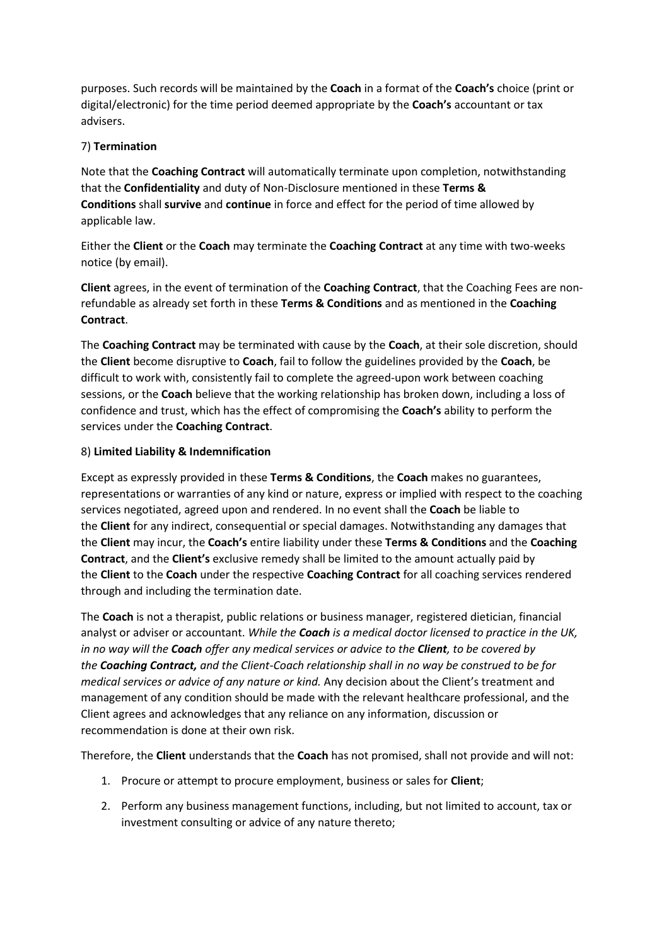purposes. Such records will be maintained by the **Coach** in a format of the **Coach's** choice (print or digital/electronic) for the time period deemed appropriate by the **Coach's** accountant or tax advisers.

### 7) **Termination**

Note that the **Coaching Contract** will automatically terminate upon completion, notwithstanding that the **Confidentiality** and duty of Non-Disclosure mentioned in these **Terms & Conditions** shall **survive** and **continue** in force and effect for the period of time allowed by applicable law.

Either the **Client** or the **Coach** may terminate the **Coaching Contract** at any time with two-weeks notice (by email).

**Client** agrees, in the event of termination of the **Coaching Contract**, that the Coaching Fees are nonrefundable as already set forth in these **Terms & Conditions** and as mentioned in the **Coaching Contract**.

The **Coaching Contract** may be terminated with cause by the **Coach**, at their sole discretion, should the **Client** become disruptive to **Coach**, fail to follow the guidelines provided by the **Coach**, be difficult to work with, consistently fail to complete the agreed-upon work between coaching sessions, or the **Coach** believe that the working relationship has broken down, including a loss of confidence and trust, which has the effect of compromising the **Coach's** ability to perform the services under the **Coaching Contract**.

#### 8) **Limited Liability & Indemnification**

Except as expressly provided in these **Terms & Conditions**, the **Coach** makes no guarantees, representations or warranties of any kind or nature, express or implied with respect to the coaching services negotiated, agreed upon and rendered. In no event shall the **Coach** be liable to the **Client** for any indirect, consequential or special damages. Notwithstanding any damages that the **Client** may incur, the **Coach's** entire liability under these **Terms & Conditions** and the **Coaching Contract**, and the **Client's** exclusive remedy shall be limited to the amount actually paid by the **Client** to the **Coach** under the respective **Coaching Contract** for all coaching services rendered through and including the termination date.

The **Coach** is not a therapist, public relations or business manager, registered dietician, financial analyst or adviser or accountant. *While the Coach is a medical doctor licensed to practice in the UK, in no way will the Coach offer any medical services or advice to the Client, to be covered by the Coaching Contract, and the Client-Coach relationship shall in no way be construed to be for medical services or advice of any nature or kind.* Any decision about the Client's treatment and management of any condition should be made with the relevant healthcare professional, and the Client agrees and acknowledges that any reliance on any information, discussion or recommendation is done at their own risk.

Therefore, the **Client** understands that the **Coach** has not promised, shall not provide and will not:

- 1. Procure or attempt to procure employment, business or sales for **Client**;
- 2. Perform any business management functions, including, but not limited to account, tax or investment consulting or advice of any nature thereto;